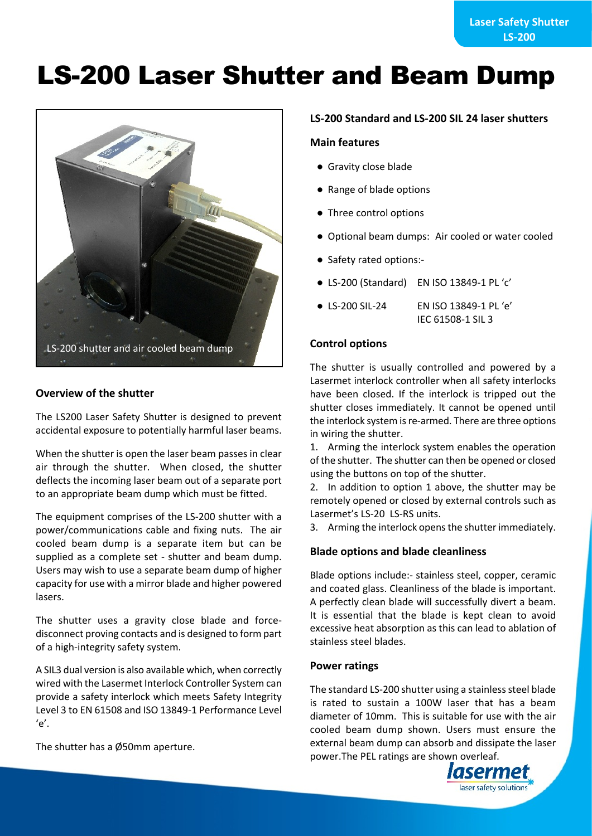# **LS-200 Laser Shutter and Beam Dump**



# **Overview of the shutter**

The LS200 Laser Safety Shutter is designed to prevent accidental exposure to potentially harmful laser beams.

When the shutter is open the laser beam passes in clear air through the shutter. When closed, the shutter deflects the incoming laser beam out of a separate port to an appropriate beam dump which must be fitted.

The equipment comprises of the LS-200 shutter with a power/communications cable and fixing nuts. The air cooled beam dump is a separate item but can be supplied as a complete set - shutter and beam dump. Users may wish to use a separate beam dump of higher capacity for use with a mirror blade and higher powered lasers.

The shutter uses a gravity close blade and forcedisconnect proving contacts and is designed to form part of a high-integrity safety system.

A SIL3 dual version is also available which, when correctly wired with the Lasermet Interlock Controller System can provide a safety interlock which meets Safety Integrity Level 3 to EN 61508 and ISO 13849-1 Performance Level  $'e'$ .

The shutter has a Ø50mm aperture.

### **LS-200 Standard and LS-200 SIL 24 laser shutters**

### **Main features**

- Gravity close blade
- Range of blade options
- Three control options
- Optional beam dumps: Air cooled or water cooled
- Safety rated options:-
- LS-200 (Standard) EN ISO 13849-1 PL 'c'
- LS-200 SIL-24 EN ISO 13849-1 PL 'e' IEC 61508-1 SIL 3

### **Control options**

The shutter is usually controlled and powered by a Lasermet interlock controller when all safety interlocks have been closed. If the interlock is tripped out the shutter closes immediately. It cannot be opened until the interlock system is re-armed. There are three options in wiring the shutter.

1. Arming the interlock system enables the operation of the shutter. The shutter can then be opened or closed using the buttons on top of the shutter.

2. In addition to option 1 above, the shutter may be remotely opened or closed by external controls such as Lasermet's LS-20 LS-RS units.

3. Arming the interlock opens the shutter immediately.

### **Blade options and blade cleanliness**

Blade options include:- stainless steel, copper, ceramic and coated glass. Cleanliness of the blade is important. A perfectly clean blade will successfully divert a beam. It is essential that the blade is kept clean to avoid excessive heat absorption as this can lead to ablation of stainless steel blades.

#### **Power ratings**

The standard LS-200 shutter using a stainless steel blade is rated to sustain a 100W laser that has a beam diameter of 10mm. This is suitable for use with the air cooled beam dump shown. Users must ensure the external beam dump can absorb and dissipate the laser power.The PEL ratings are shown overleaf.